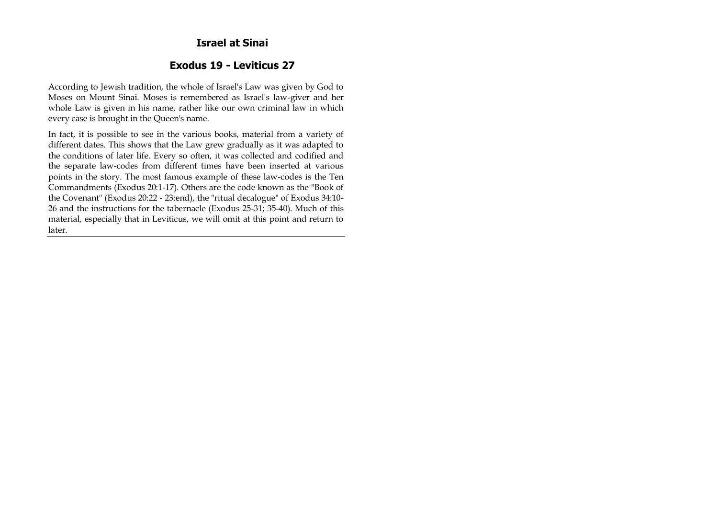### **Israel at Sinai**

## **Exodus 19 - Leviticus 27**

According to Jewish tradition, the whole of Israel's Law was given by God to Moses on Mount Sinai. Moses is remembered as Israel's law-giver and her whole Law is given in his name, rather like our own criminal law in which every case is brought in the Queen's name.

In fact, it is possible to see in the various books, material from a variety of different dates. This shows that the Law grew gradually as it was adapted to the conditions of later life. Every so often, it was collected and codified and the separate law-codes from different times have been inserted at various points in the story. The most famous example of these law-codes is the Ten Commandments (Exodus 20:1-17). Others are the code known as the "Book of the Covenant" (Exodus 20:22 - 23:end), the "ritual decalogue" of Exodus 34:10- 26 and the instructions for the tabernacle (Exodus 25-31; 35-40). Much of this material, especially that in Leviticus, we will omit at this point and return to later.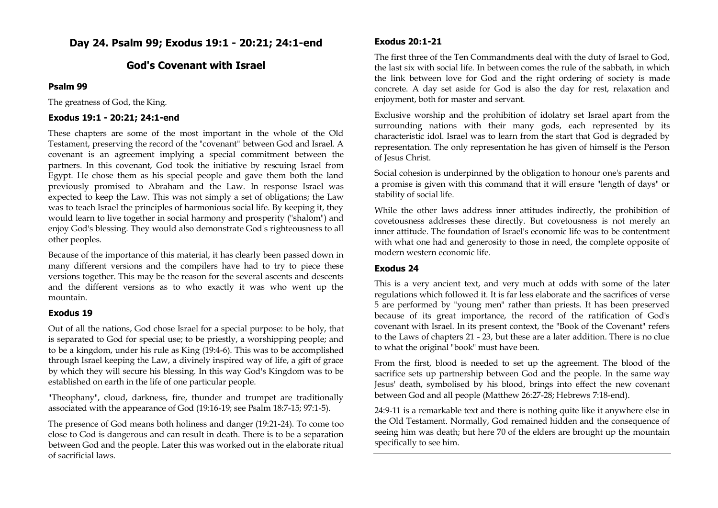**Day 24. Psalm 99; Exodus 19:1 - 20:21; 24:1-end**

### **God's Covenant with Israel**

#### **Psalm 99**

The greatness of God, the King.

#### **Exodus 19:1 - 20:21; 24:1-end**

These chapters are some of the most important in the whole of the Old Testament, preserving the record of the "covenant" between God and Israel. A covenant is an agreement implying a special commitment between the partners. In this covenant, God took the initiative by rescuing Israel from Egypt. He chose them as his special people and gave them both the land previously promised to Abraham and the Law. In response Israel was expected to keep the Law. This was not simply a set of obligations; the Law was to teach Israel the principles of harmonious social life. By keeping it, they would learn to live together in social harmony and prosperity ("shalom") and enjoy God's blessing. They would also demonstrate God's righteousness to all other peoples.

Because of the importance of this material, it has clearly been passed down in many different versions and the compilers have had to try to piece these versions together. This may be the reason for the several ascents and descents and the different versions as to who exactly it was who went up the mountain.

#### **Exodus 19**

Out of all the nations, God chose Israel for a special purpose: to be holy, that is separated to God for special use; to be priestly, a worshipping people; and to be a kingdom, under his rule as King (19:4-6). This was to be accomplished through Israel keeping the Law, a divinely inspired way of life, a gift of grace by which they will secure his blessing. In this way God's Kingdom was to be established on earth in the life of one particular people.

"Theophany", cloud, darkness, fire, thunder and trumpet are traditionally associated with the appearance of God (19:16-19; see Psalm 18:7-15; 97:1-5).

The presence of God means both holiness and danger (19:21-24). To come too close to God is dangerous and can result in death. There is to be a separation between God and the people. Later this was worked out in the elaborate ritual of sacrificial laws.

#### **Exodus 20:1-21**

The first three of the Ten Commandments deal with the duty of Israel to God, the last six with social life. In between comes the rule of the sabbath, in which the link between love for God and the right ordering of society is made concrete. A day set aside for God is also the day for rest, relaxation and enjoyment, both for master and servant.

Exclusive worship and the prohibition of idolatry set Israel apart from the surrounding nations with their many gods, each represented by its characteristic idol. Israel was to learn from the start that God is degraded by representation. The only representation he has given of himself is the Person of Jesus Christ.

Social cohesion is underpinned by the obligation to honour one's parents and a promise is given with this command that it will ensure "length of days" or stability of social life.

While the other laws address inner attitudes indirectly, the prohibition of covetousness addresses these directly. But covetousness is not merely an inner attitude. The foundation of Israel's economic life was to be contentment with what one had and generosity to those in need, the complete opposite of modern western economic life.

### **Exodus 24**

This is a very ancient text, and very much at odds with some of the later regulations which followed it. It is far less elaborate and the sacrifices of verse 5 are performed by "young men" rather than priests. It has been preserved because of its great importance, the record of the ratification of God's covenant with Israel. In its present context, the "Book of the Covenant" refers to the Laws of chapters 21 - 23, but these are a later addition. There is no clue to what the original "book" must have been.

From the first, blood is needed to set up the agreement. The blood of the sacrifice sets up partnership between God and the people. In the same way Jesus' death, symbolised by his blood, brings into effect the new covenant between God and all people (Matthew 26:27-28; Hebrews 7:18-end).

24:9-11 is a remarkable text and there is nothing quite like it anywhere else in the Old Testament. Normally, God remained hidden and the consequence of seeing him was death; but here 70 of the elders are brought up the mountain specifically to see him.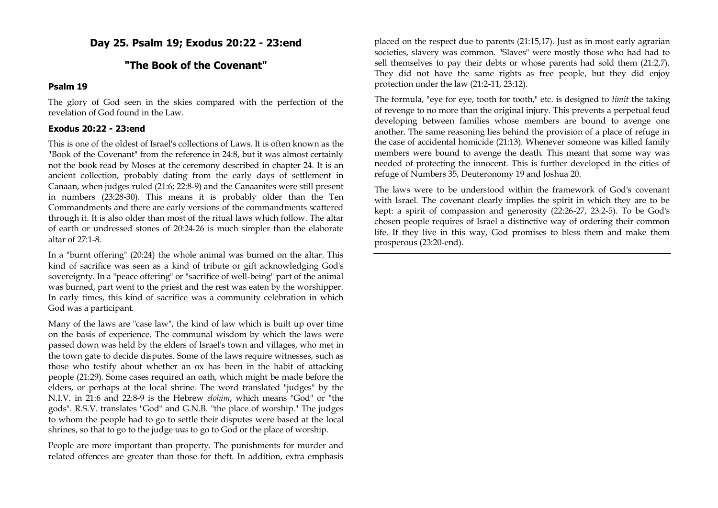# **Day 25. Psalm 19; Exodus 20:22 - 23:end**

# **"The Book of the Covenant"**

#### **Psalm 19**

The glory of God seen in the skies compared with the perfection of the revelation of God found in the Law.

#### **Exodus 20:22 - 23:end**

This is one of the oldest of Israel's collections of Laws. It is often known as the "Book of the Covenant" from the reference in 24:8, but it was almost certainly not the book read by Moses at the ceremony described in chapter 24. It is an ancient collection, probably dating from the early days of settlement in Canaan, when judges ruled (21:6; 22:8-9) and the Canaanites were still present in numbers (23:28-30). This means it is probably older than the Ten Commandments and there are early versions of the commandments scattered through it. It is also older than most of the ritual laws which follow. The altar of earth or undressed stones of 20:24-26 is much simpler than the elaborate altar of 27:1-8.

In a "burnt offering" (20:24) the whole animal was burned on the altar. This kind of sacrifice was seen as a kind of tribute or gift acknowledging God's sovereignty. In a "peace offering" or "sacrifice of well-being" part of the animal was burned, part went to the priest and the rest was eaten by the worshipper. In early times, this kind of sacrifice was a community celebration in which God was a participant.

Many of the laws are "case law", the kind of law which is built up over time on the basis of experience. The communal wisdom by which the laws were passed down was held by the elders of Israel's town and villages, who met in the town gate to decide disputes. Some of the laws require witnesses, such as those who testify about whether an ox has been in the habit of attacking people (21:29). Some cases required an oath, which might be made before the elders, or perhaps at the local shrine. The word translated "judges" by the N.I.V. in 21:6 and 22:8-9 is the Hebrew *elohim*, which means "God" or "the gods". R.S.V. translates "God" and G.N.B. "the place of worship." The judges to whom the people had to go to settle their disputes were based at the local shrines, so that to go to the judge *was* to go to God or the place of worship.

People are more important than property. The punishments for murder and related offences are greater than those for theft. In addition, extra emphasis

placed on the respect due to parents (21:15,17). Just as in most early agrarian societies, slavery was common. "Slaves" were mostly those who had had to sell themselves to pay their debts or whose parents had sold them (21:2,7). They did not have the same rights as free people, but they did enjoy protection under the law (21:2-11, 23:12).

The formula, "eye for eye, tooth for tooth," etc. is designed to *limit* the taking of revenge to no more than the original injury. This prevents a perpetual feud developing between families whose members are bound to avenge one another. The same reasoning lies behind the provision of a place of refuge in the case of accidental homicide (21:13). Whenever someone was killed family members were bound to avenge the death. This meant that some way was needed of protecting the innocent. This is further developed in the cities of refuge of Numbers 35, Deuteronomy 19 and Joshua 20.

The laws were to be understood within the framework of God's covenant with Israel. The covenant clearly implies the spirit in which they are to be kept: a spirit of compassion and generosity (22:26-27, 23:2-5). To be God's chosen people requires of Israel a distinctive way of ordering their common life. If they live in this way, God promises to bless them and make them prosperous (23:20-end).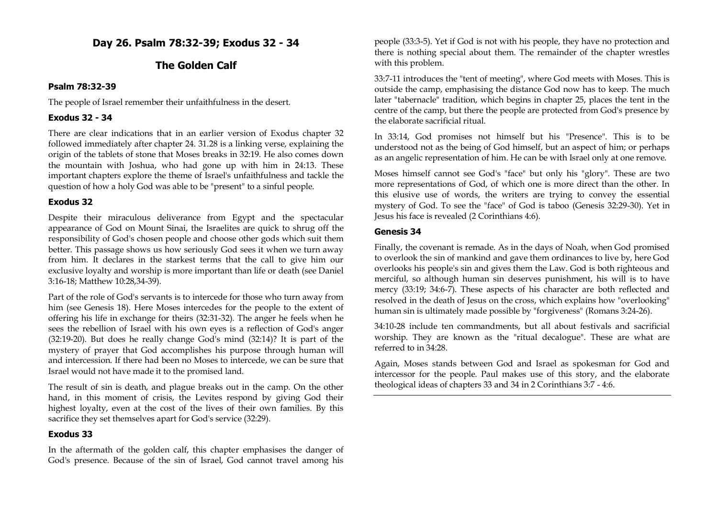**Day 26. Psalm 78:32-39; Exodus 32 - 34**

### **The Golden Calf**

#### **Psalm 78:32-39**

The people of Israel remember their unfaithfulness in the desert.

### **Exodus 32 - 34**

There are clear indications that in an earlier version of Exodus chapter 32 followed immediately after chapter 24. 31.28 is a linking verse, explaining the origin of the tablets of stone that Moses breaks in 32:19. He also comes down the mountain with Joshua, who had gone up with him in 24:13. These important chapters explore the theme of Israel's unfaithfulness and tackle the question of how a holy God was able to be "present" to a sinful people.

### **Exodus 32**

Despite their miraculous deliverance from Egypt and the spectacular appearance of God on Mount Sinai, the Israelites are quick to shrug off the responsibility of God's chosen people and choose other gods which suit them better. This passage shows us how seriously God sees it when we turn away from him. It declares in the starkest terms that the call to give him our exclusive loyalty and worship is more important than life or death (see Daniel 3:16-18; Matthew 10:28,34-39).

Part of the role of God's servants is to intercede for those who turn away from him (see Genesis 18). Here Moses intercedes for the people to the extent of offering his life in exchange for theirs (32:31-32). The anger he feels when he sees the rebellion of Israel with his own eyes is a reflection of God's anger (32:19-20). But does he really change God's mind (32:14)? It is part of the mystery of prayer that God accomplishes his purpose through human will and intercession. If there had been no Moses to intercede, we can be sure that Israel would not have made it to the promised land.

The result of sin is death, and plague breaks out in the camp. On the other hand, in this moment of crisis, the Levites respond by giving God their highest loyalty, even at the cost of the lives of their own families. By this sacrifice they set themselves apart for God's service (32:29).

# **Exodus 33**

In the aftermath of the golden calf, this chapter emphasises the danger of God's presence. Because of the sin of Israel, God cannot travel among his people (33:3-5). Yet if God is not with his people, they have no protection and there is nothing special about them. The remainder of the chapter wrestles with this problem.

33:7-11 introduces the "tent of meeting", where God meets with Moses. This is outside the camp, emphasising the distance God now has to keep. The much later "tabernacle" tradition, which begins in chapter 25, places the tent in the centre of the camp, but there the people are protected from God's presence by the elaborate sacrificial ritual.

In 33:14, God promises not himself but his "Presence". This is to be understood not as the being of God himself, but an aspect of him; or perhaps as an angelic representation of him. He can be with Israel only at one remove.

Moses himself cannot see God's "face" but only his "glory". These are two more representations of God, of which one is more direct than the other. In this elusive use of words, the writers are trying to convey the essential mystery of God. To see the "face" of God is taboo (Genesis 32:29-30). Yet in Jesus his face is revealed (2 Corinthians 4:6).

### **Genesis 34**

Finally, the covenant is remade. As in the days of Noah, when God promised to overlook the sin of mankind and gave them ordinances to live by, here God overlooks his people's sin and gives them the Law. God is both righteous and merciful, so although human sin deserves punishment, his will is to have mercy (33:19; 34:6-7). These aspects of his character are both reflected and resolved in the death of Jesus on the cross, which explains how "overlooking" human sin is ultimately made possible by "forgiveness" (Romans 3:24-26).

34:10-28 include ten commandments, but all about festivals and sacrificial worship. They are known as the "ritual decalogue". These are what are referred to in 34:28.

Again, Moses stands between God and Israel as spokesman for God and intercessor for the people. Paul makes use of this story, and the elaborate theological ideas of chapters 33 and 34 in 2 Corinthians 3:7 - 4:6.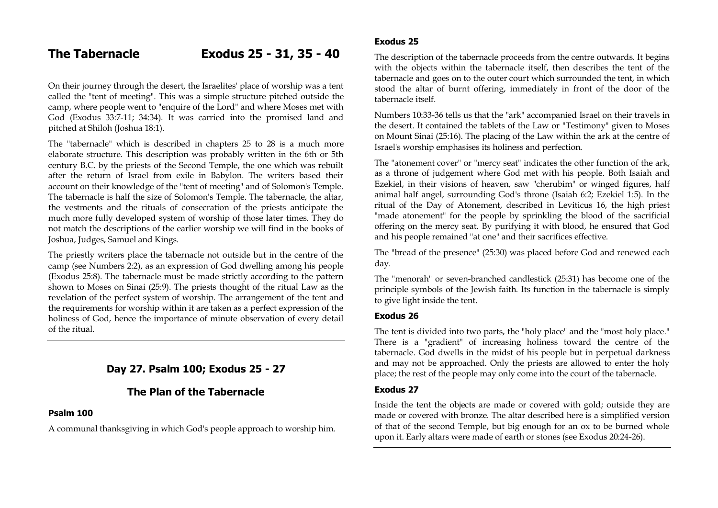On their journey through the desert, the Israelites' place of worship was a tent called the "tent of meeting". This was a simple structure pitched outside the camp, where people went to "enquire of the Lord" and where Moses met with God (Exodus 33:7-11; 34:34). It was carried into the promised land and pitched at Shiloh (Joshua 18:1).

The "tabernacle" which is described in chapters 25 to 28 is a much more elaborate structure. This description was probably written in the 6th or 5th century B.C. by the priests of the Second Temple, the one which was rebuilt after the return of Israel from exile in Babylon. The writers based their account on their knowledge of the "tent of meeting" and of Solomon's Temple. The tabernacle is half the size of Solomon's Temple. The tabernacle, the altar, the vestments and the rituals of consecration of the priests anticipate the much more fully developed system of worship of those later times. They do not match the descriptions of the earlier worship we will find in the books of Joshua, Judges, Samuel and Kings.

The priestly writers place the tabernacle not outside but in the centre of the camp (see Numbers 2:2), as an expression of God dwelling among his people (Exodus 25:8). The tabernacle must be made strictly according to the pattern shown to Moses on Sinai (25:9). The priests thought of the ritual Law as the revelation of the perfect system of worship. The arrangement of the tent and the requirements for worship within it are taken as a perfect expression of the holiness of God, hence the importance of minute observation of every detail of the ritual.

# **Day 27. Psalm 100; Exodus 25 - 27**

# **The Plan of the Tabernacle**

#### **Psalm 100**

A communal thanksgiving in which God's people approach to worship him.

#### **Exodus 25**

The description of the tabernacle proceeds from the centre outwards. It begins with the objects within the tabernacle itself, then describes the tent of the tabernacle and goes on to the outer court which surrounded the tent, in which stood the altar of burnt offering, immediately in front of the door of the tabernacle itself.

Numbers 10:33-36 tells us that the "ark" accompanied Israel on their travels in the desert. It contained the tablets of the Law or "Testimony" given to Moses on Mount Sinai (25:16). The placing of the Law within the ark at the centre of Israel's worship emphasises its holiness and perfection.

The "atonement cover" or "mercy seat" indicates the other function of the ark, as a throne of judgement where God met with his people. Both Isaiah and Ezekiel, in their visions of heaven, saw "cherubim" or winged figures, half animal half angel, surrounding God's throne (Isaiah 6:2; Ezekiel 1:5). In the ritual of the Day of Atonement, described in Leviticus 16, the high priest "made atonement" for the people by sprinkling the blood of the sacrificial offering on the mercy seat. By purifying it with blood, he ensured that God and his people remained "at one" and their sacrifices effective.

The "bread of the presence" (25:30) was placed before God and renewed each day.

The "menorah" or seven-branched candlestick (25:31) has become one of the principle symbols of the Jewish faith. Its function in the tabernacle is simply to give light inside the tent.

#### **Exodus 26**

The tent is divided into two parts, the "holy place" and the "most holy place." There is a "gradient" of increasing holiness toward the centre of the tabernacle. God dwells in the midst of his people but in perpetual darkness and may not be approached. Only the priests are allowed to enter the holy place; the rest of the people may only come into the court of the tabernacle.

#### **Exodus 27**

Inside the tent the objects are made or covered with gold; outside they are made or covered with bronze. The altar described here is a simplified version of that of the second Temple, but big enough for an ox to be burned whole upon it. Early altars were made of earth or stones (see Exodus 20:24-26).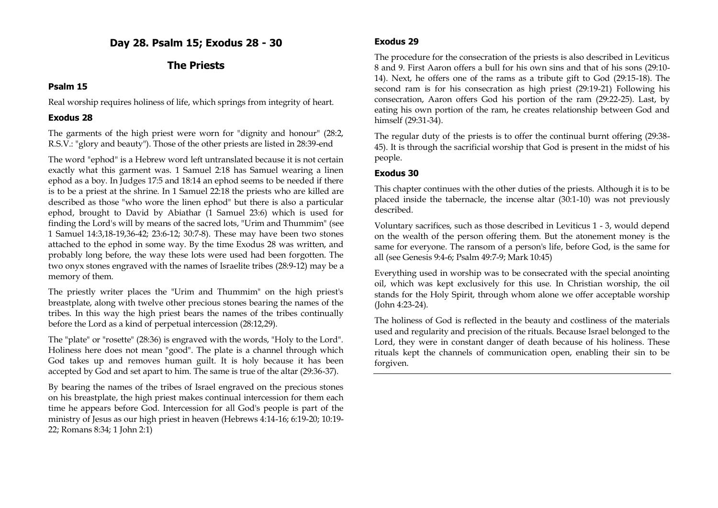**Day 28. Psalm 15; Exodus 28 - 30**

# **The Priests**

### **Psalm 15**

Real worship requires holiness of life, which springs from integrity of heart.

## **Exodus 28**

The garments of the high priest were worn for "dignity and honour" (28:2, R.S.V.: "glory and beauty"). Those of the other priests are listed in 28:39-end

The word "ephod" is a Hebrew word left untranslated because it is not certain exactly what this garment was. 1 Samuel 2:18 has Samuel wearing a linen ephod as a boy. In Judges 17:5 and 18:14 an ephod seems to be needed if there is to be a priest at the shrine. In 1 Samuel 22:18 the priests who are killed are described as those "who wore the linen ephod" but there is also a particular ephod, brought to David by Abiathar (1 Samuel 23:6) which is used for finding the Lord's will by means of the sacred lots, "Urim and Thummim" (see 1 Samuel 14:3,18-19,36-42; 23:6-12; 30:7-8). These may have been two stones attached to the ephod in some way. By the time Exodus 28 was written, and probably long before, the way these lots were used had been forgotten. The two onyx stones engraved with the names of Israelite tribes (28:9-12) may be a memory of them.

The priestly writer places the "Urim and Thummim" on the high priest's breastplate, along with twelve other precious stones bearing the names of the tribes. In this way the high priest bears the names of the tribes continually before the Lord as a kind of perpetual intercession (28:12,29).

The "plate" or "rosette" (28:36) is engraved with the words, "Holy to the Lord". Holiness here does not mean "good". The plate is a channel through which God takes up and removes human guilt. It is holy because it has been accepted by God and set apart to him. The same is true of the altar (29:36-37).

By bearing the names of the tribes of Israel engraved on the precious stones on his breastplate, the high priest makes continual intercession for them each time he appears before God. Intercession for all God's people is part of the ministry of Jesus as our high priest in heaven (Hebrews 4:14-16; 6:19-20; 10:19- 22; Romans 8:34; 1 John 2:1)

## **Exodus 29**

The procedure for the consecration of the priests is also described in Leviticus 8 and 9. First Aaron offers a bull for his own sins and that of his sons (29:10- 14). Next, he offers one of the rams as a tribute gift to God (29:15-18). The second ram is for his consecration as high priest (29:19-21) Following his consecration, Aaron offers God his portion of the ram (29:22-25). Last, by eating his own portion of the ram, he creates relationship between God and himself (29:31-34).

The regular duty of the priests is to offer the continual burnt offering (29:38- 45). It is through the sacrificial worship that God is present in the midst of his people.

## **Exodus 30**

This chapter continues with the other duties of the priests. Although it is to be placed inside the tabernacle, the incense altar (30:1-10) was not previously described.

Voluntary sacrifices, such as those described in Leviticus 1 - 3, would depend on the wealth of the person offering them. But the atonement money is the same for everyone. The ransom of a person's life, before God, is the same for all (see Genesis 9:4-6; Psalm 49:7-9; Mark 10:45)

Everything used in worship was to be consecrated with the special anointing oil, which was kept exclusively for this use. In Christian worship, the oil stands for the Holy Spirit, through whom alone we offer acceptable worship (John 4:23-24).

The holiness of God is reflected in the beauty and costliness of the materials used and regularity and precision of the rituals. Because Israel belonged to the Lord, they were in constant danger of death because of his holiness. These rituals kept the channels of communication open, enabling their sin to be forgiven.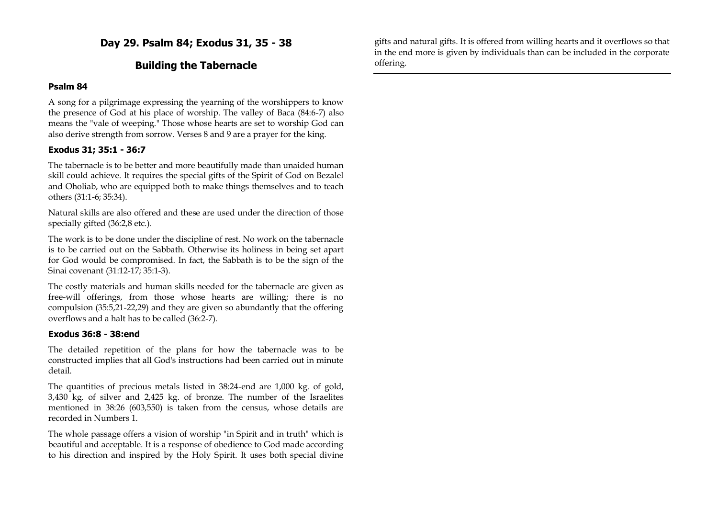**Day 29. Psalm 84; Exodus 31, 35 - 38**

## **Building the Tabernacle**

#### **Psalm 84**

A song for a pilgrimage expressing the yearning of the worshippers to know the presence of God at his place of worship. The valley of Baca (84:6-7) also means the "vale of weeping." Those whose hearts are set to worship God can also derive strength from sorrow. Verses 8 and 9 are a prayer for the king.

#### **Exodus 31; 35:1 - 36:7**

The tabernacle is to be better and more beautifully made than unaided human skill could achieve. It requires the special gifts of the Spirit of God on Bezalel and Oholiab, who are equipped both to make things themselves and to teach others (31:1-6; 35:34).

Natural skills are also offered and these are used under the direction of those specially gifted (36:2,8 etc.).

The work is to be done under the discipline of rest. No work on the tabernacle is to be carried out on the Sabbath. Otherwise its holiness in being set apart for God would be compromised. In fact, the Sabbath is to be the sign of the Sinai covenant (31:12-17; 35:1-3).

The costly materials and human skills needed for the tabernacle are given as free-will offerings, from those whose hearts are willing; there is no compulsion (35:5,21-22,29) and they are given so abundantly that the offering overflows and a halt has to be called (36:2-7).

#### **Exodus 36:8 - 38:end**

The detailed repetition of the plans for how the tabernacle was to be constructed implies that all God's instructions had been carried out in minute detail.

The quantities of precious metals listed in 38:24-end are 1,000 kg. of gold, 3,430 kg. of silver and 2,425 kg. of bronze. The number of the Israelites mentioned in 38:26 (603,550) is taken from the census, whose details are recorded in Numbers 1.

The whole passage offers a vision of worship "in Spirit and in truth" which is beautiful and acceptable. It is a response of obedience to God made according to his direction and inspired by the Holy Spirit. It uses both special divine gifts and natural gifts. It is offered from willing hearts and it overflows so that in the end more is given by individuals than can be included in the corporate offering.